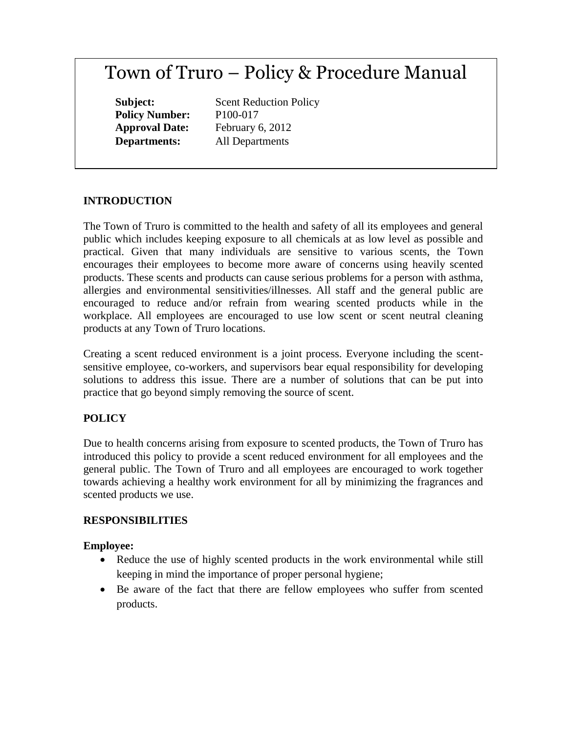# Town of Truro – Policy & Procedure Manual

**Policy Number:** P100-017

**Subject:** Scent Reduction Policy **Approval Date:** February 6, 2012 **Departments:** All Departments

## **INTRODUCTION**

The Town of Truro is committed to the health and safety of all its employees and general public which includes keeping exposure to all chemicals at as low level as possible and practical. Given that many individuals are sensitive to various scents, the Town encourages their employees to become more aware of concerns using heavily scented products. These scents and products can cause serious problems for a person with asthma, allergies and environmental sensitivities/illnesses. All staff and the general public are encouraged to reduce and/or refrain from wearing scented products while in the workplace. All employees are encouraged to use low scent or scent neutral cleaning products at any Town of Truro locations.

Creating a scent reduced environment is a joint process. Everyone including the scentsensitive employee, co-workers, and supervisors bear equal responsibility for developing solutions to address this issue. There are a number of solutions that can be put into practice that go beyond simply removing the source of scent.

#### **POLICY**

Due to health concerns arising from exposure to scented products, the Town of Truro has introduced this policy to provide a scent reduced environment for all employees and the general public. The Town of Truro and all employees are encouraged to work together towards achieving a healthy work environment for all by minimizing the fragrances and scented products we use.

#### **RESPONSIBILITIES**

#### **Employee:**

- Reduce the use of highly scented products in the work environmental while still keeping in mind the importance of proper personal hygiene;
- Be aware of the fact that there are fellow employees who suffer from scented products.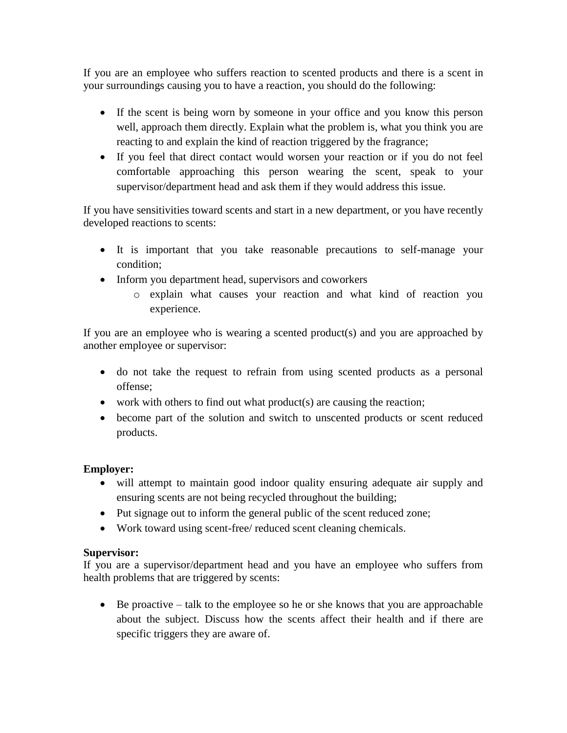If you are an employee who suffers reaction to scented products and there is a scent in your surroundings causing you to have a reaction, you should do the following:

- If the scent is being worn by someone in your office and you know this person well, approach them directly. Explain what the problem is, what you think you are reacting to and explain the kind of reaction triggered by the fragrance;
- If you feel that direct contact would worsen your reaction or if you do not feel comfortable approaching this person wearing the scent, speak to your supervisor/department head and ask them if they would address this issue.

If you have sensitivities toward scents and start in a new department, or you have recently developed reactions to scents:

- It is important that you take reasonable precautions to self-manage your condition;
- Inform you department head, supervisors and coworkers
	- o explain what causes your reaction and what kind of reaction you experience.

If you are an employee who is wearing a scented product(s) and you are approached by another employee or supervisor:

- do not take the request to refrain from using scented products as a personal offense;
- work with others to find out what product(s) are causing the reaction;
- become part of the solution and switch to unscented products or scent reduced products.

## **Employer:**

- will attempt to maintain good indoor quality ensuring adequate air supply and ensuring scents are not being recycled throughout the building;
- Put signage out to inform the general public of the scent reduced zone;
- Work toward using scent-free/ reduced scent cleaning chemicals.

# **Supervisor:**

If you are a supervisor/department head and you have an employee who suffers from health problems that are triggered by scents:

 Be proactive – talk to the employee so he or she knows that you are approachable about the subject. Discuss how the scents affect their health and if there are specific triggers they are aware of.